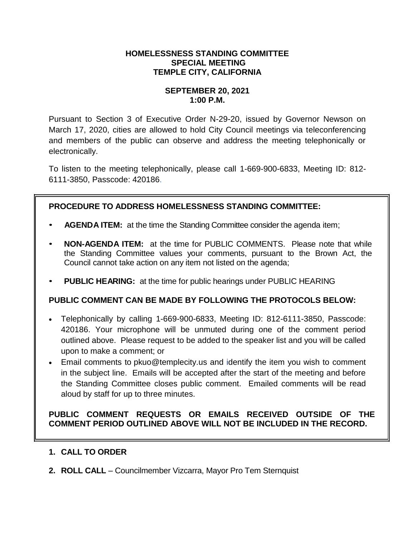### **HOMELESSNESS STANDING COMMITTEE SPECIAL MEETING TEMPLE CITY, CALIFORNIA**

### **SEPTEMBER 20, 2021 1:00 P.M.**

Pursuant to Section 3 of Executive Order N-29-20, issued by Governor Newson on March 17, 2020, cities are allowed to hold City Council meetings via teleconferencing and members of the public can observe and address the meeting telephonically or electronically.

To listen to the meeting telephonically, please call 1-669-900-6833, Meeting ID: 812- 6111-3850, Passcode: 420186.

# **PROCEDURE TO ADDRESS HOMELESSNESS STANDING COMMITTEE:**

- **AGENDA ITEM:** at the time the Standing Committee consider the agenda item;
- **NON-AGENDA ITEM:** at the time for PUBLIC COMMENTS. Please note that while the Standing Committee values your comments, pursuant to the Brown Act, the Council cannot take action on any item not listed on the agenda;
- **PUBLIC HEARING:** at the time for public hearings under PUBLIC HEARING

## **PUBLIC COMMENT CAN BE MADE BY FOLLOWING THE PROTOCOLS BELOW:**

- Telephonically by calling 1-669-900-6833, Meeting ID: 812-6111-3850, Passcode: 420186. Your microphone will be unmuted during one of the comment period outlined above. Please request to be added to the speaker list and you will be called upon to make a comment; or
- Email comments to pkuo@templecity.us and identify the item you wish to comment in the subject line. Emails will be accepted after the start of the meeting and before the Standing Committee closes public comment. Emailed comments will be read aloud by staff for up to three minutes.

## **PUBLIC COMMENT REQUESTS OR EMAILS RECEIVED OUTSIDE OF THE COMMENT PERIOD OUTLINED ABOVE WILL NOT BE INCLUDED IN THE RECORD.**

## **1. CALL TO ORDER**

**2. ROLL CALL** – Councilmember Vizcarra, Mayor Pro Tem Sternquist